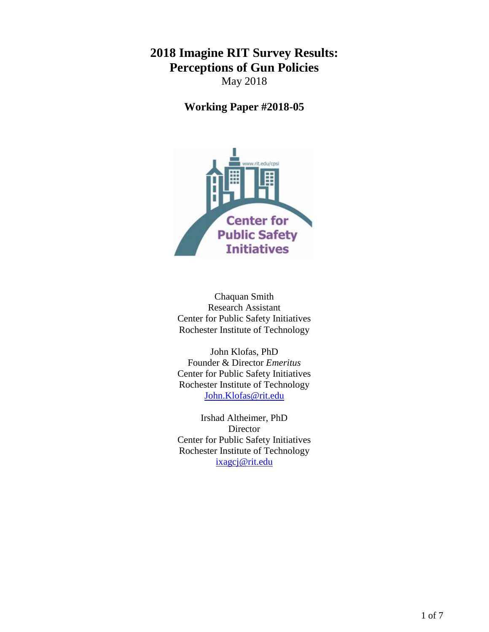# **2018 Imagine RIT Survey Results: Perceptions of Gun Policies** May 2018

**Working Paper #2018-05**



Chaquan Smith Research Assistant Center for Public Safety Initiatives Rochester Institute of Technology

John Klofas, PhD Founder & Director *Emeritus* Center for Public Safety Initiatives Rochester Institute of Technology [John.Klofas@rit.edu](mailto:John.Klofas@rit.edu)

Irshad Altheimer, PhD Director Center for Public Safety Initiatives Rochester Institute of Technology [ixagcj@rit.edu](mailto:ixagcj@rit.edu)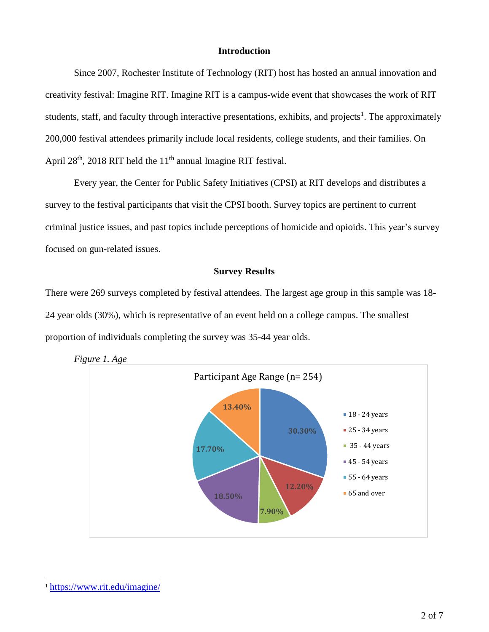# **Introduction**

Since 2007, Rochester Institute of Technology (RIT) host has hosted an annual innovation and creativity festival: Imagine RIT. Imagine RIT is a campus-wide event that showcases the work of RIT students, staff, and faculty through interactive presentations, exhibits, and projects<sup>1</sup>. The approximately 200,000 festival attendees primarily include local residents, college students, and their families. On April 28<sup>th</sup>, 2018 RIT held the 11<sup>th</sup> annual Imagine RIT festival.

Every year, the Center for Public Safety Initiatives (CPSI) at RIT develops and distributes a survey to the festival participants that visit the CPSI booth. Survey topics are pertinent to current criminal justice issues, and past topics include perceptions of homicide and opioids. This year's survey focused on gun-related issues.

#### **Survey Results**

There were 269 surveys completed by festival attendees. The largest age group in this sample was 18- 24 year olds (30%), which is representative of an event held on a college campus. The smallest proportion of individuals completing the survey was 35-44 year olds.





 $\overline{a}$ 

<sup>1</sup> <https://www.rit.edu/imagine/>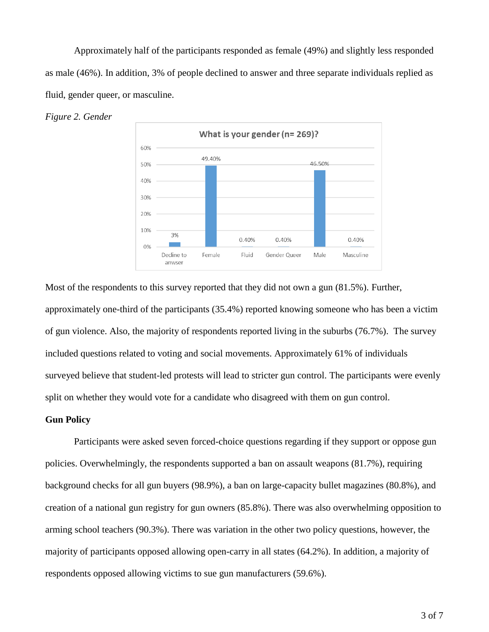Approximately half of the participants responded as female (49%) and slightly less responded as male (46%). In addition, 3% of people declined to answer and three separate individuals replied as fluid, gender queer, or masculine.





Most of the respondents to this survey reported that they did not own a gun (81.5%). Further, approximately one-third of the participants (35.4%) reported knowing someone who has been a victim of gun violence. Also, the majority of respondents reported living in the suburbs (76.7%). The survey included questions related to voting and social movements. Approximately 61% of individuals surveyed believe that student-led protests will lead to stricter gun control. The participants were evenly split on whether they would vote for a candidate who disagreed with them on gun control.

# **Gun Policy**

Participants were asked seven forced-choice questions regarding if they support or oppose gun policies. Overwhelmingly, the respondents supported a ban on assault weapons (81.7%), requiring background checks for all gun buyers (98.9%), a ban on large-capacity bullet magazines (80.8%), and creation of a national gun registry for gun owners (85.8%). There was also overwhelming opposition to arming school teachers (90.3%). There was variation in the other two policy questions, however, the majority of participants opposed allowing open-carry in all states (64.2%). In addition, a majority of respondents opposed allowing victims to sue gun manufacturers (59.6%).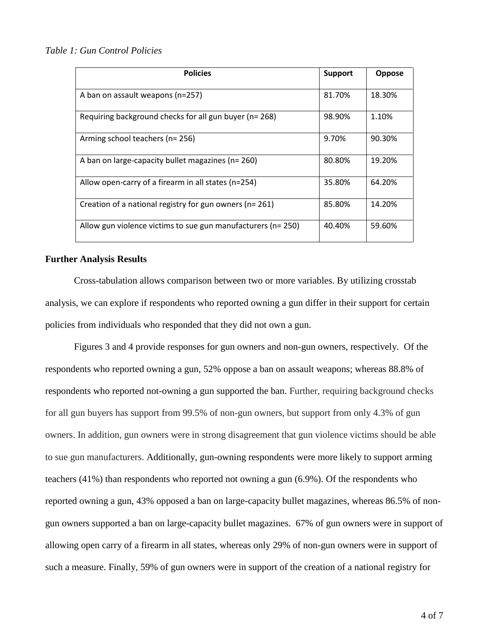# *Table 1: Gun Control Policies*

| <b>Policies</b>                                              | <b>Support</b> | Oppose |
|--------------------------------------------------------------|----------------|--------|
| A ban on assault weapons (n=257)                             | 81.70%         | 18.30% |
| Requiring background checks for all gun buyer (n= 268)       | 98.90%         | 1.10%  |
| Arming school teachers (n= 256)                              | 9.70%          | 90.30% |
| A ban on large-capacity bullet magazines (n= 260)            | 80.80%         | 19.20% |
| Allow open-carry of a firearm in all states (n=254)          | 35.80%         | 64.20% |
| Creation of a national registry for gun owners (n= 261)      | 85.80%         | 14.20% |
| Allow gun violence victims to sue gun manufacturers (n= 250) | 40.40%         | 59.60% |

# **Further Analysis Results**

Cross-tabulation allows comparison between two or more variables. By utilizing crosstab analysis, we can explore if respondents who reported owning a gun differ in their support for certain policies from individuals who responded that they did not own a gun.

Figures 3 and 4 provide responses for gun owners and non-gun owners, respectively. Of the respondents who reported owning a gun, 52% oppose a ban on assault weapons; whereas 88.8% of respondents who reported not-owning a gun supported the ban. Further, requiring background checks for all gun buyers has support from 99.5% of non-gun owners, but support from only 4.3% of gun owners. In addition, gun owners were in strong disagreement that gun violence victims should be able to sue gun manufacturers. Additionally, gun-owning respondents were more likely to support arming teachers (41%) than respondents who reported not owning a gun (6.9%). Of the respondents who reported owning a gun, 43% opposed a ban on large-capacity bullet magazines, whereas 86.5% of nongun owners supported a ban on large-capacity bullet magazines. 67% of gun owners were in support of allowing open carry of a firearm in all states, whereas only 29% of non-gun owners were in support of such a measure. Finally, 59% of gun owners were in support of the creation of a national registry for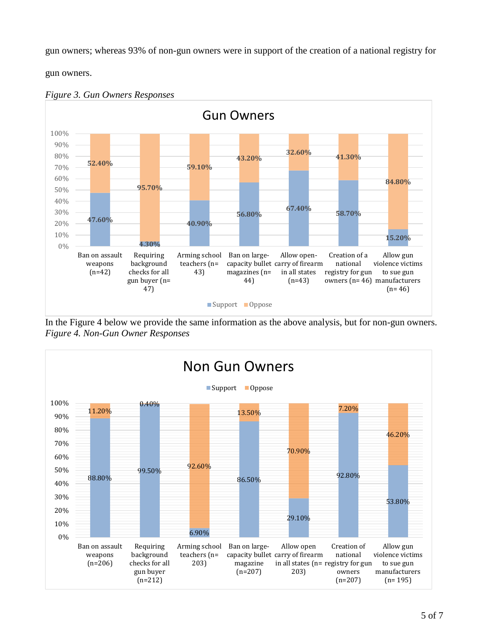gun owners; whereas 93% of non-gun owners were in support of the creation of a national registry for

gun owners.





In the Figure 4 below we provide the same information as the above analysis, but for non-gun owners. *Figure 4. Non-Gun Owner Responses* 

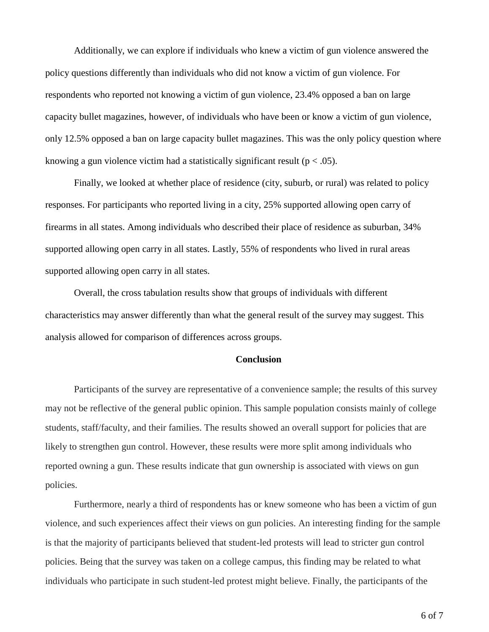Additionally, we can explore if individuals who knew a victim of gun violence answered the policy questions differently than individuals who did not know a victim of gun violence. For respondents who reported not knowing a victim of gun violence, 23.4% opposed a ban on large capacity bullet magazines, however, of individuals who have been or know a victim of gun violence, only 12.5% opposed a ban on large capacity bullet magazines. This was the only policy question where knowing a gun violence victim had a statistically significant result ( $p < .05$ ).

Finally, we looked at whether place of residence (city, suburb, or rural) was related to policy responses. For participants who reported living in a city, 25% supported allowing open carry of firearms in all states. Among individuals who described their place of residence as suburban, 34% supported allowing open carry in all states. Lastly, 55% of respondents who lived in rural areas supported allowing open carry in all states.

Overall, the cross tabulation results show that groups of individuals with different characteristics may answer differently than what the general result of the survey may suggest. This analysis allowed for comparison of differences across groups.

# **Conclusion**

Participants of the survey are representative of a convenience sample; the results of this survey may not be reflective of the general public opinion. This sample population consists mainly of college students, staff/faculty, and their families. The results showed an overall support for policies that are likely to strengthen gun control. However, these results were more split among individuals who reported owning a gun. These results indicate that gun ownership is associated with views on gun policies.

Furthermore, nearly a third of respondents has or knew someone who has been a victim of gun violence, and such experiences affect their views on gun policies. An interesting finding for the sample is that the majority of participants believed that student-led protests will lead to stricter gun control policies. Being that the survey was taken on a college campus, this finding may be related to what individuals who participate in such student-led protest might believe. Finally, the participants of the